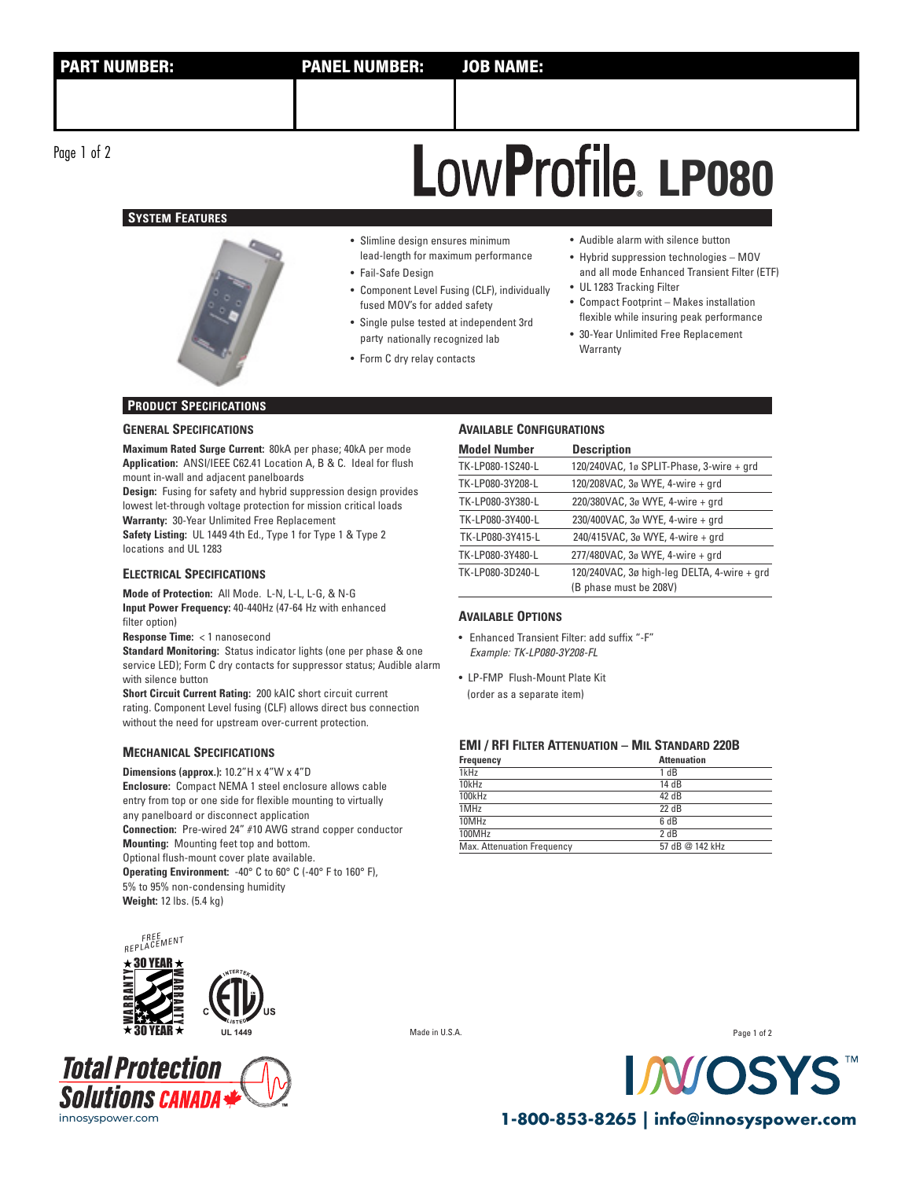Page 1 of 2

# **SYSTEM FEATURES**



# • Slimline design ensures minimum lead-length for maximum performance

- Fail-Safe Design
- Component Level Fusing (CLF), individually fused MOV's for added safety
- Single pulse tested at independent 3rd party nationally recognized lab
- Form C dry relay contacts
- Audible alarm with silence button
- Hybrid suppression technologies MOV and all mode Enhanced Transient Filter (ETF)

**LP080 ®**

- UL 1283 Tracking Filter • Compact Footprint – Makes installation flexible while insuring peak performance
- 30-Year Unlimited Free Replacement Warranty

## **PRODUCT SPECIFICATIONS**

### **GENERAL SPECIFICATIONS**

**Maximum Rated Surge Current:** 80kA per phase; 40kA per mode **Application:** ANSI/IEEE C62.41 Location A, B & C. Ideal for flush mount in-wall and adjacent panelboards

**Design:** Fusing for safety and hybrid suppression design provides lowest let-through voltage protection for mission critical loads **Warranty:** 30-Year Unlimited Free Replacement

**Safety Listing:** UL 1449 4th Ed., Type 1 for Type 1 & Type 2 locations and UL 1283

## **ELECTRICAL SPECIFICATIONS**

**Mode of Protection:** All Mode. L-N, L-L, L-G, & N-G **Input Power Frequency:** 40-440Hz (47-64 Hz with enhanced filter option)

**Response Time:** < 1 nanosecond

**Standard Monitoring:** Status indicator lights (one per phase & one service LED); Form C dry contacts for suppressor status; Audible alarm with silence button

**Short Circuit Current Rating:** 200 kAIC short circuit current rating. Component Level fusing (CLF) allows direct bus connection without the need for upstream over-current protection.

### **MECHANICAL SPECIFICATIONS**

**Dimensions (approx.):** 10.2"H x 4"W x 4"D **Enclosure:** Compact NEMA 1 steel enclosure allows cable entry from top or one side for flexible mounting to virtually any panelboard or disconnect application **Connection:** Pre-wired 24" #10 AWG strand copper conductor **Mounting:** Mounting feet top and bottom. Optional flush-mount cover plate available.

**Operating Environment:** -40° C to 60° C (-40° F to 160° F), 5% to 95% non-condensing humidity **Weight:** 12 lbs. (5.4 kg)



| <b>Model Number</b> | <b>Description</b>                                                    |
|---------------------|-----------------------------------------------------------------------|
| TK-LP080-1S240-L    | 120/240VAC, 1ø SPLIT-Phase, 3-wire + grd                              |
| TK-LP080-3Y208-L    | 120/208VAC, 3ø WYE, 4-wire + grd                                      |
| TK-LP080-3Y380-L    | 220/380VAC, 3ø WYE, 4-wire + grd                                      |
| TK-LP080-3Y400-L    | 230/400VAC, 3ø WYE, 4-wire + qrd                                      |
| TK-LP080-3Y415-L    | 240/415VAC, 3ø WYE, 4-wire + grd                                      |
| TK-LP080-3Y480-L    | 277/480VAC, 3ø WYE, 4-wire + grd                                      |
| TK-LP080-3D240-L    | 120/240VAC, 3ø high-leg DELTA, 4-wire + grd<br>(B phase must be 208V) |

#### **AVAILABLE OPTIONS**

- Enhanced Transient Filter: add suffix "-F" Example: TK-LP080-3Y208-FL
- LP-FMP Flush-Mount Plate Kit (order as a separate item)

# **EMI / RFI FILTER ATTENUATION – MIL STANDARD 220B**

| Frequency                  | <b>Attenuation</b> |
|----------------------------|--------------------|
| 1kHz                       | 1 dB               |
| 10kHz                      | 14 dB              |
| 100kHz                     | 42 dB              |
| 1MHz                       | $22 \text{ dB}$    |
| 10MHz                      | 6 dB               |
| 100MHz                     | $2$ d <sub>R</sub> |
| Max. Attenuation Frequency | 57 dB @ 142 kHz    |







**UL 1449** Made in U.S.A.

Page 1 of 2



innosyspower.com **1-800-853-8265 | info@innosyspower.com**